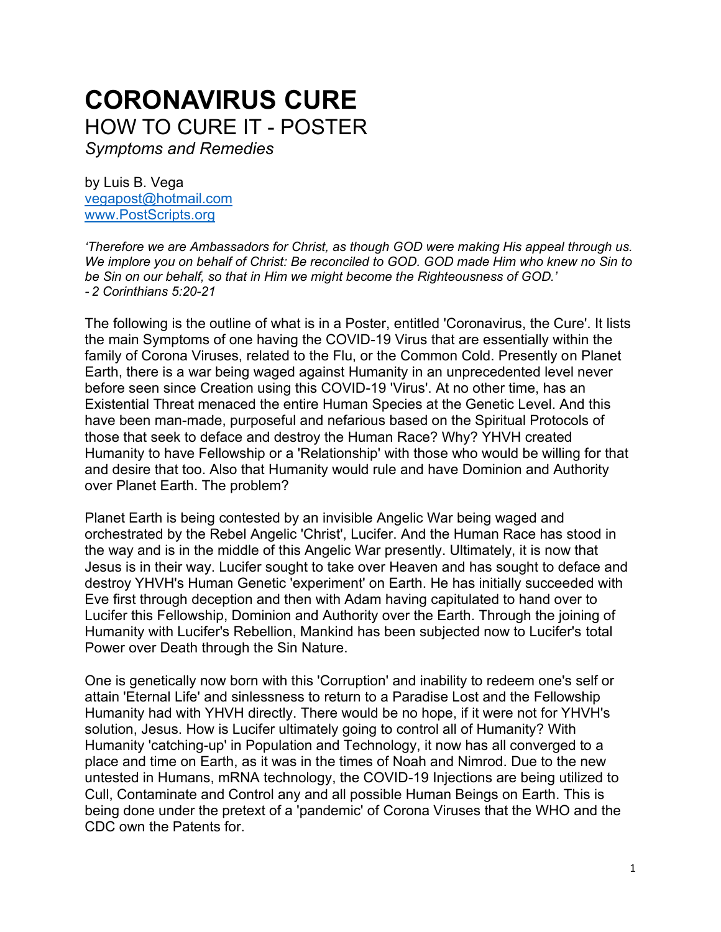# **CORONAVIRUS CURE** HOW TO CURE IT - POSTER *Symptoms and Remedies*

by Luis B. Vega [vegapost@hotmail.com](mailto:vegapost@hotmail.com) [www.PostScripts.org](http://www.postscripts.org/)

*'Therefore we are Ambassadors for Christ, as though GOD were making His appeal through us. We implore you on behalf of Christ: Be reconciled to GOD. GOD made Him who knew no Sin to be Sin on our behalf, so that in Him we might become the Righteousness of GOD.' - 2 Corinthians 5:20-21*

The following is the outline of what is in a Poster, entitled 'Coronavirus, the Cure'. It lists the main Symptoms of one having the COVID-19 Virus that are essentially within the family of Corona Viruses, related to the Flu, or the Common Cold. Presently on Planet Earth, there is a war being waged against Humanity in an unprecedented level never before seen since Creation using this COVID-19 'Virus'. At no other time, has an Existential Threat menaced the entire Human Species at the Genetic Level. And this have been man-made, purposeful and nefarious based on the Spiritual Protocols of those that seek to deface and destroy the Human Race? Why? YHVH created Humanity to have Fellowship or a 'Relationship' with those who would be willing for that and desire that too. Also that Humanity would rule and have Dominion and Authority over Planet Earth. The problem?

Planet Earth is being contested by an invisible Angelic War being waged and orchestrated by the Rebel Angelic 'Christ', Lucifer. And the Human Race has stood in the way and is in the middle of this Angelic War presently. Ultimately, it is now that Jesus is in their way. Lucifer sought to take over Heaven and has sought to deface and destroy YHVH's Human Genetic 'experiment' on Earth. He has initially succeeded with Eve first through deception and then with Adam having capitulated to hand over to Lucifer this Fellowship, Dominion and Authority over the Earth. Through the joining of Humanity with Lucifer's Rebellion, Mankind has been subjected now to Lucifer's total Power over Death through the Sin Nature.

One is genetically now born with this 'Corruption' and inability to redeem one's self or attain 'Eternal Life' and sinlessness to return to a Paradise Lost and the Fellowship Humanity had with YHVH directly. There would be no hope, if it were not for YHVH's solution, Jesus. How is Lucifer ultimately going to control all of Humanity? With Humanity 'catching-up' in Population and Technology, it now has all converged to a place and time on Earth, as it was in the times of Noah and Nimrod. Due to the new untested in Humans, mRNA technology, the COVID-19 Injections are being utilized to Cull, Contaminate and Control any and all possible Human Beings on Earth. This is being done under the pretext of a 'pandemic' of Corona Viruses that the WHO and the CDC own the Patents for.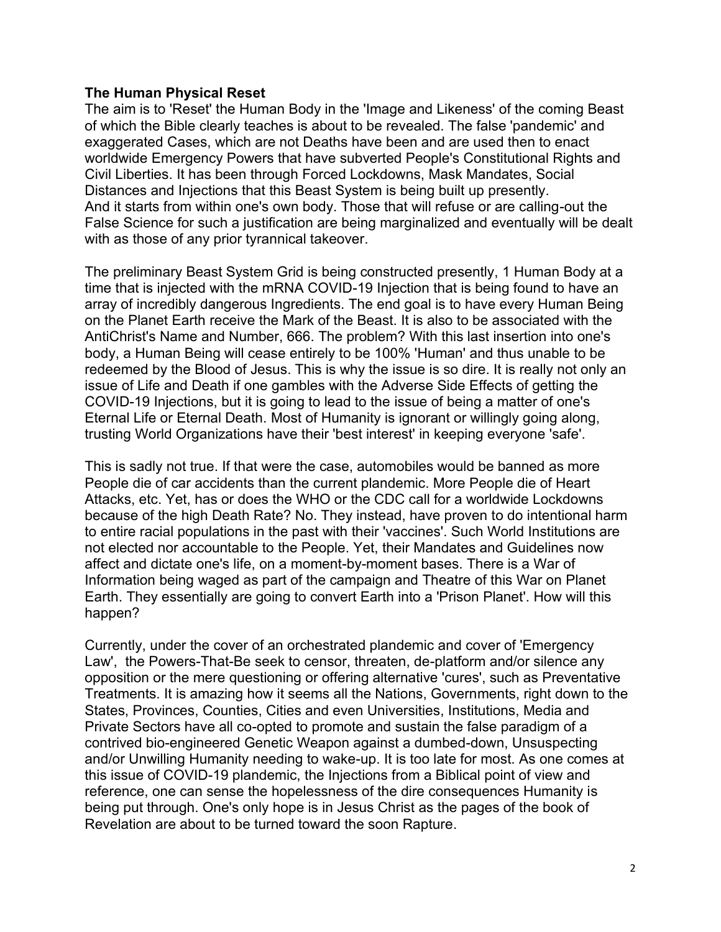#### **The Human Physical Reset**

The aim is to 'Reset' the Human Body in the 'Image and Likeness' of the coming Beast of which the Bible clearly teaches is about to be revealed. The false 'pandemic' and exaggerated Cases, which are not Deaths have been and are used then to enact worldwide Emergency Powers that have subverted People's Constitutional Rights and Civil Liberties. It has been through Forced Lockdowns, Mask Mandates, Social Distances and Injections that this Beast System is being built up presently. And it starts from within one's own body. Those that will refuse or are calling-out the False Science for such a justification are being marginalized and eventually will be dealt with as those of any prior tyrannical takeover.

The preliminary Beast System Grid is being constructed presently, 1 Human Body at a time that is injected with the mRNA COVID-19 Injection that is being found to have an array of incredibly dangerous Ingredients. The end goal is to have every Human Being on the Planet Earth receive the Mark of the Beast. It is also to be associated with the AntiChrist's Name and Number, 666. The problem? With this last insertion into one's body, a Human Being will cease entirely to be 100% 'Human' and thus unable to be redeemed by the Blood of Jesus. This is why the issue is so dire. It is really not only an issue of Life and Death if one gambles with the Adverse Side Effects of getting the COVID-19 Injections, but it is going to lead to the issue of being a matter of one's Eternal Life or Eternal Death. Most of Humanity is ignorant or willingly going along, trusting World Organizations have their 'best interest' in keeping everyone 'safe'.

This is sadly not true. If that were the case, automobiles would be banned as more People die of car accidents than the current plandemic. More People die of Heart Attacks, etc. Yet, has or does the WHO or the CDC call for a worldwide Lockdowns because of the high Death Rate? No. They instead, have proven to do intentional harm to entire racial populations in the past with their 'vaccines'. Such World Institutions are not elected nor accountable to the People. Yet, their Mandates and Guidelines now affect and dictate one's life, on a moment-by-moment bases. There is a War of Information being waged as part of the campaign and Theatre of this War on Planet Earth. They essentially are going to convert Earth into a 'Prison Planet'. How will this happen?

Currently, under the cover of an orchestrated plandemic and cover of 'Emergency Law', the Powers-That-Be seek to censor, threaten, de-platform and/or silence any opposition or the mere questioning or offering alternative 'cures', such as Preventative Treatments. It is amazing how it seems all the Nations, Governments, right down to the States, Provinces, Counties, Cities and even Universities, Institutions, Media and Private Sectors have all co-opted to promote and sustain the false paradigm of a contrived bio-engineered Genetic Weapon against a dumbed-down, Unsuspecting and/or Unwilling Humanity needing to wake-up. It is too late for most. As one comes at this issue of COVID-19 plandemic, the Injections from a Biblical point of view and reference, one can sense the hopelessness of the dire consequences Humanity is being put through. One's only hope is in Jesus Christ as the pages of the book of Revelation are about to be turned toward the soon Rapture.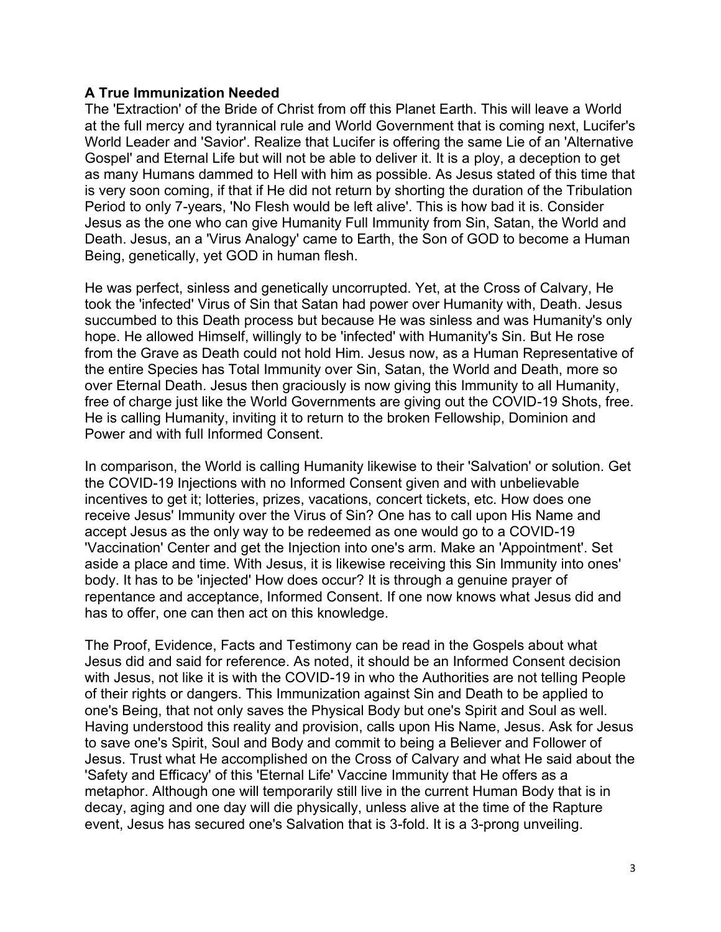#### **A True Immunization Needed**

The 'Extraction' of the Bride of Christ from off this Planet Earth. This will leave a World at the full mercy and tyrannical rule and World Government that is coming next, Lucifer's World Leader and 'Savior'. Realize that Lucifer is offering the same Lie of an 'Alternative Gospel' and Eternal Life but will not be able to deliver it. It is a ploy, a deception to get as many Humans dammed to Hell with him as possible. As Jesus stated of this time that is very soon coming, if that if He did not return by shorting the duration of the Tribulation Period to only 7-years, 'No Flesh would be left alive'. This is how bad it is. Consider Jesus as the one who can give Humanity Full Immunity from Sin, Satan, the World and Death. Jesus, an a 'Virus Analogy' came to Earth, the Son of GOD to become a Human Being, genetically, yet GOD in human flesh.

He was perfect, sinless and genetically uncorrupted. Yet, at the Cross of Calvary, He took the 'infected' Virus of Sin that Satan had power over Humanity with, Death. Jesus succumbed to this Death process but because He was sinless and was Humanity's only hope. He allowed Himself, willingly to be 'infected' with Humanity's Sin. But He rose from the Grave as Death could not hold Him. Jesus now, as a Human Representative of the entire Species has Total Immunity over Sin, Satan, the World and Death, more so over Eternal Death. Jesus then graciously is now giving this Immunity to all Humanity, free of charge just like the World Governments are giving out the COVID-19 Shots, free. He is calling Humanity, inviting it to return to the broken Fellowship, Dominion and Power and with full Informed Consent.

In comparison, the World is calling Humanity likewise to their 'Salvation' or solution. Get the COVID-19 Injections with no Informed Consent given and with unbelievable incentives to get it; lotteries, prizes, vacations, concert tickets, etc. How does one receive Jesus' Immunity over the Virus of Sin? One has to call upon His Name and accept Jesus as the only way to be redeemed as one would go to a COVID-19 'Vaccination' Center and get the Injection into one's arm. Make an 'Appointment'. Set aside a place and time. With Jesus, it is likewise receiving this Sin Immunity into ones' body. It has to be 'injected' How does occur? It is through a genuine prayer of repentance and acceptance, Informed Consent. If one now knows what Jesus did and has to offer, one can then act on this knowledge.

The Proof, Evidence, Facts and Testimony can be read in the Gospels about what Jesus did and said for reference. As noted, it should be an Informed Consent decision with Jesus, not like it is with the COVID-19 in who the Authorities are not telling People of their rights or dangers. This Immunization against Sin and Death to be applied to one's Being, that not only saves the Physical Body but one's Spirit and Soul as well. Having understood this reality and provision, calls upon His Name, Jesus. Ask for Jesus to save one's Spirit, Soul and Body and commit to being a Believer and Follower of Jesus. Trust what He accomplished on the Cross of Calvary and what He said about the 'Safety and Efficacy' of this 'Eternal Life' Vaccine Immunity that He offers as a metaphor. Although one will temporarily still live in the current Human Body that is in decay, aging and one day will die physically, unless alive at the time of the Rapture event, Jesus has secured one's Salvation that is 3-fold. It is a 3-prong unveiling.